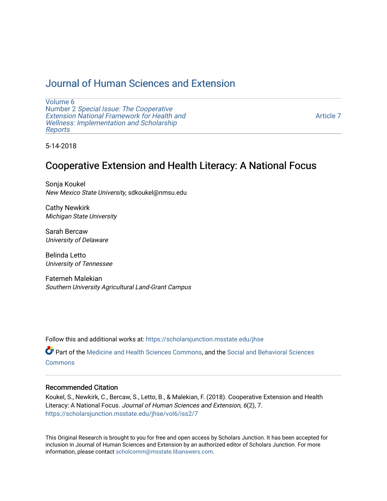## [Journal of Human Sciences and Extension](https://scholarsjunction.msstate.edu/jhse)

[Volume 6](https://scholarsjunction.msstate.edu/jhse/vol6) Number 2 [Special Issue: The Cooperative](https://scholarsjunction.msstate.edu/jhse/vol6/iss2)  [Extension National Framework for Health and](https://scholarsjunction.msstate.edu/jhse/vol6/iss2) [Wellness: Implementation and Scholarship](https://scholarsjunction.msstate.edu/jhse/vol6/iss2)  [Reports](https://scholarsjunction.msstate.edu/jhse/vol6/iss2)

[Article 7](https://scholarsjunction.msstate.edu/jhse/vol6/iss2/7) 

5-14-2018

## Cooperative Extension and Health Literacy: A National Focus

Sonja Koukel New Mexico State University, sdkoukel@nmsu.edu

Cathy Newkirk Michigan State University

Sarah Bercaw University of Delaware

Belinda Letto University of Tennessee

Fatemeh Malekian Southern University Agricultural Land-Grant Campus

Follow this and additional works at: [https://scholarsjunction.msstate.edu/jhse](https://scholarsjunction.msstate.edu/jhse?utm_source=scholarsjunction.msstate.edu%2Fjhse%2Fvol6%2Fiss2%2F7&utm_medium=PDF&utm_campaign=PDFCoverPages)

Part of the [Medicine and Health Sciences Commons,](http://network.bepress.com/hgg/discipline/648?utm_source=scholarsjunction.msstate.edu%2Fjhse%2Fvol6%2Fiss2%2F7&utm_medium=PDF&utm_campaign=PDFCoverPages) and the [Social and Behavioral Sciences](http://network.bepress.com/hgg/discipline/316?utm_source=scholarsjunction.msstate.edu%2Fjhse%2Fvol6%2Fiss2%2F7&utm_medium=PDF&utm_campaign=PDFCoverPages) **[Commons](http://network.bepress.com/hgg/discipline/316?utm_source=scholarsjunction.msstate.edu%2Fjhse%2Fvol6%2Fiss2%2F7&utm_medium=PDF&utm_campaign=PDFCoverPages)** 

#### Recommended Citation

Koukel, S., Newkirk, C., Bercaw, S., Letto, B., & Malekian, F. (2018). Cooperative Extension and Health Literacy: A National Focus. Journal of Human Sciences and Extension, 6(2), 7. [https://scholarsjunction.msstate.edu/jhse/vol6/iss2/7](https://scholarsjunction.msstate.edu/jhse/vol6/iss2/7?utm_source=scholarsjunction.msstate.edu%2Fjhse%2Fvol6%2Fiss2%2F7&utm_medium=PDF&utm_campaign=PDFCoverPages)

This Original Research is brought to you for free and open access by Scholars Junction. It has been accepted for inclusion in Journal of Human Sciences and Extension by an authorized editor of Scholars Junction. For more information, please contact [scholcomm@msstate.libanswers.com](mailto:scholcomm@msstate.libanswers.com).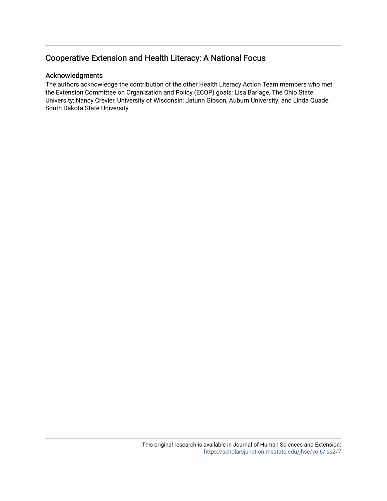### Cooperative Extension and Health Literacy: A National Focus

#### Acknowledgments

The authors acknowledge the contribution of the other Health Literacy Action Team members who met the Extension Committee on Organization and Policy (ECOP) goals: Lisa Barlage, The Ohio State University; Nancy Crevier, University of Wisconsin; Jatunn Gibson, Auburn University; and Linda Quade, South Dakota State University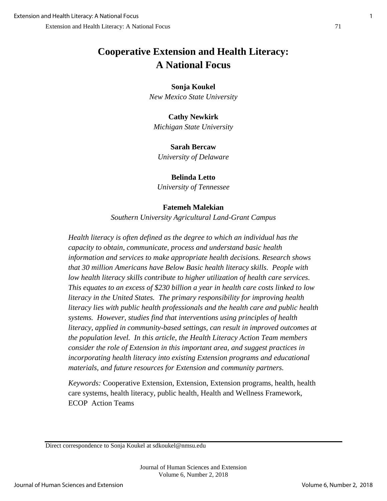# **Cooperative Extension and Health Literacy: A National Focus**

#### **Sonja Koukel**

*New Mexico State University*

#### **Cathy Newkirk**

*Michigan State University*

#### **Sarah Bercaw**

*University of Delaware*

#### **Belinda Letto**

*University of Tennessee*

#### **Fatemeh Malekian**

*Southern University Agricultural Land-Grant Campus*

*Health literacy is often defined as the degree to which an individual has the capacity to obtain, communicate, process and understand basic health information and services to make appropriate health decisions. Research shows that 30 million Americans have Below Basic health literacy skills. People with low health literacy skills contribute to higher utilization of health care services. This equates to an excess of \$230 billion a year in health care costs linked to low literacy in the United States. The primary responsibility for improving health literacy lies with public health professionals and the health care and public health systems. However, studies find that interventions using principles of health literacy, applied in community-based settings, can result in improved outcomes at the population level. In this article, the Health Literacy Action Team members consider the role of Extension in this important area, and suggest practices in incorporating health literacy into existing Extension programs and educational materials, and future resources for Extension and community partners.*

*Keywords:* Cooperative Extension, Extension, Extension programs, health, health care systems, health literacy, public health, Health and Wellness Framework, ECOP Action Teams

Direct correspondence to Sonja Koukel at sdkoukel@nmsu.edu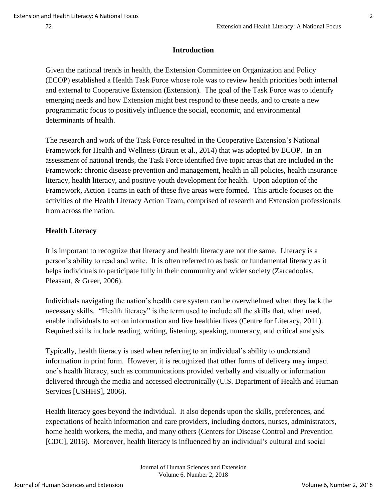#### **Introduction**

Given the national trends in health, the Extension Committee on Organization and Policy (ECOP) established a Health Task Force whose role was to review health priorities both internal and external to Cooperative Extension (Extension). The goal of the Task Force was to identify emerging needs and how Extension might best respond to these needs, and to create a new programmatic focus to positively influence the social, economic, and environmental determinants of health.

The research and work of the Task Force resulted in the Cooperative Extension's National Framework for Health and Wellness (Braun et al., 2014) that was adopted by ECOP. In an assessment of national trends, the Task Force identified five topic areas that are included in the Framework: chronic disease prevention and management, health in all policies, health insurance literacy, health literacy, and positive youth development for health. Upon adoption of the Framework, Action Teams in each of these five areas were formed. This article focuses on the activities of the Health Literacy Action Team, comprised of research and Extension professionals from across the nation.

#### **Health Literacy**

It is important to recognize that literacy and health literacy are not the same. Literacy is a person's ability to read and write. It is often referred to as basic or fundamental literacy as it helps individuals to participate fully in their community and wider society (Zarcadoolas, Pleasant, & Greer, 2006).

Individuals navigating the nation's health care system can be overwhelmed when they lack the necessary skills. "Health literacy" is the term used to include all the skills that, when used, enable individuals to act on information and live healthier lives (Centre for Literacy, 2011). Required skills include reading, writing, listening, speaking, numeracy, and critical analysis.

Typically, health literacy is used when referring to an individual's ability to understand information in print form. However, it is recognized that other forms of delivery may impact one's health literacy, such as communications provided verbally and visually or information delivered through the media and accessed electronically (U.S. Department of Health and Human Services [USHHS], 2006).

Health literacy goes beyond the individual. It also depends upon the skills, preferences, and expectations of health information and care providers, including doctors, nurses, administrators, home health workers, the media, and many others (Centers for Disease Control and Prevention [CDC], 2016). Moreover, health literacy is influenced by an individual's cultural and social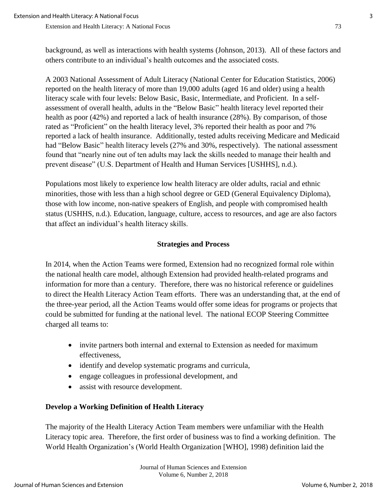Extension and Health Literacy: A National Focus 73

background, as well as interactions with health systems (Johnson, 2013). All of these factors and others contribute to an individual's health outcomes and the associated costs.

A 2003 National Assessment of Adult Literacy (National Center for Education Statistics, 2006) reported on the health literacy of more than 19,000 adults (aged 16 and older) using a health literacy scale with four levels: Below Basic, Basic, Intermediate, and Proficient. In a selfassessment of overall health, adults in the "Below Basic" health literacy level reported their health as poor (42%) and reported a lack of health insurance (28%). By comparison, of those rated as "Proficient" on the health literacy level, 3% reported their health as poor and 7% reported a lack of health insurance. Additionally, tested adults receiving Medicare and Medicaid had "Below Basic" health literacy levels (27% and 30%, respectively). The national assessment found that "nearly nine out of ten adults may lack the skills needed to manage their health and prevent disease" (U.S. Department of Health and Human Services [USHHS], n.d.).

Populations most likely to experience low health literacy are older adults, racial and ethnic minorities, those with less than a high school degree or GED (General Equivalency Diploma), those with low income, non-native speakers of English, and people with compromised health status (USHHS, n.d.). Education, language, culture, access to resources, and age are also factors that affect an individual's health literacy skills.

#### **Strategies and Process**

In 2014, when the Action Teams were formed, Extension had no recognized formal role within the national health care model, although Extension had provided health-related programs and information for more than a century. Therefore, there was no historical reference or guidelines to direct the Health Literacy Action Team efforts. There was an understanding that, at the end of the three-year period, all the Action Teams would offer some ideas for programs or projects that could be submitted for funding at the national level. The national ECOP Steering Committee charged all teams to:

- invite partners both internal and external to Extension as needed for maximum effectiveness,
- identify and develop systematic programs and curricula,
- engage colleagues in professional development, and
- assist with resource development.

#### **Develop a Working Definition of Health Literacy**

The majority of the Health Literacy Action Team members were unfamiliar with the Health Literacy topic area. Therefore, the first order of business was to find a working definition. The World Health Organization's (World Health Organization [WHO], 1998) definition laid the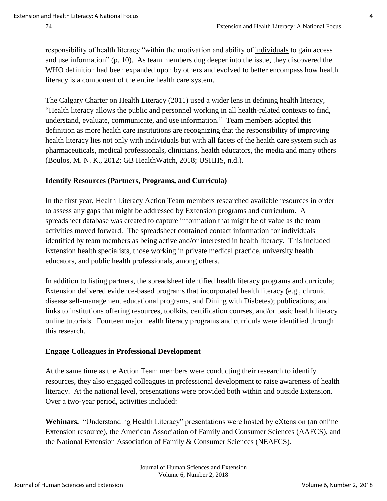responsibility of health literacy "within the motivation and ability of individuals to gain access and use information" (p. 10). As team members dug deeper into the issue, they discovered the WHO definition had been expanded upon by others and evolved to better encompass how health literacy is a component of the entire health care system.

The Calgary Charter on Health Literacy (2011) used a wider lens in defining health literacy, "Health literacy allows the public and personnel working in all health-related contexts to find, understand, evaluate, communicate, and use information." Team members adopted this definition as more health care institutions are recognizing that the responsibility of improving health literacy lies not only with individuals but with all facets of the health care system such as pharmaceuticals, medical professionals, clinicians, health educators, the media and many others (Boulos, M. N. K., 2012; GB HealthWatch, 2018; USHHS, n.d.).

#### **Identify Resources (Partners, Programs, and Curricula)**

In the first year, Health Literacy Action Team members researched available resources in order to assess any gaps that might be addressed by Extension programs and curriculum. A spreadsheet database was created to capture information that might be of value as the team activities moved forward. The spreadsheet contained contact information for individuals identified by team members as being active and/or interested in health literacy. This included Extension health specialists, those working in private medical practice, university health educators, and public health professionals, among others.

In addition to listing partners, the spreadsheet identified health literacy programs and curricula; Extension delivered evidence-based programs that incorporated health literacy (e.g., chronic disease self-management educational programs, and Dining with Diabetes); publications; and links to institutions offering resources, toolkits, certification courses, and/or basic health literacy online tutorials. Fourteen major health literacy programs and curricula were identified through this research.

#### **Engage Colleagues in Professional Development**

At the same time as the Action Team members were conducting their research to identify resources, they also engaged colleagues in professional development to raise awareness of health literacy. At the national level, presentations were provided both within and outside Extension. Over a two-year period, activities included:

**Webinars.** "Understanding Health Literacy" presentations were hosted by eXtension (an online Extension resource), the American Association of Family and Consumer Sciences (AAFCS), and the National Extension Association of Family & Consumer Sciences (NEAFCS).

> Journal of Human Sciences and Extension Volume 6, Number 2, 2018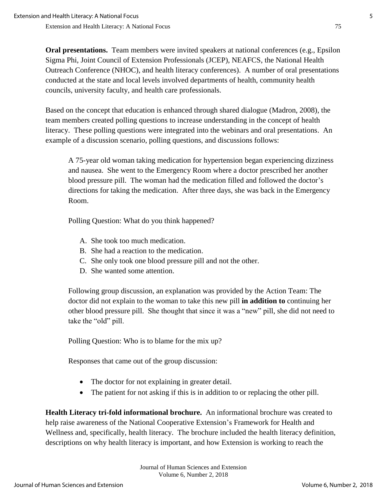**Oral presentations.** Team members were invited speakers at national conferences (e.g., Epsilon Sigma Phi, Joint Council of Extension Professionals (JCEP), NEAFCS, the National Health Outreach Conference (NHOC), and health literacy conferences). A number of oral presentations conducted at the state and local levels involved departments of health, community health councils, university faculty, and health care professionals.

Based on the concept that education is enhanced through shared dialogue (Madron, 2008), the team members created polling questions to increase understanding in the concept of health literacy. These polling questions were integrated into the webinars and oral presentations. An example of a discussion scenario, polling questions, and discussions follows:

A 75-year old woman taking medication for hypertension began experiencing dizziness and nausea. She went to the Emergency Room where a doctor prescribed her another blood pressure pill. The woman had the medication filled and followed the doctor's directions for taking the medication. After three days, she was back in the Emergency Room.

Polling Question: What do you think happened?

- A. She took too much medication.
- B. She had a reaction to the medication.
- C. She only took one blood pressure pill and not the other.
- D. She wanted some attention.

Following group discussion, an explanation was provided by the Action Team: The doctor did not explain to the woman to take this new pill **in addition to** continuing her other blood pressure pill. She thought that since it was a "new" pill, she did not need to take the "old" pill.

Polling Question: Who is to blame for the mix up?

Responses that came out of the group discussion:

- The doctor for not explaining in greater detail.
- The patient for not asking if this is in addition to or replacing the other pill.

**Health Literacy tri-fold informational brochure.** An informational brochure was created to help raise awareness of the National Cooperative Extension's Framework for Health and Wellness and, specifically, health literacy. The brochure included the health literacy definition, descriptions on why health literacy is important, and how Extension is working to reach the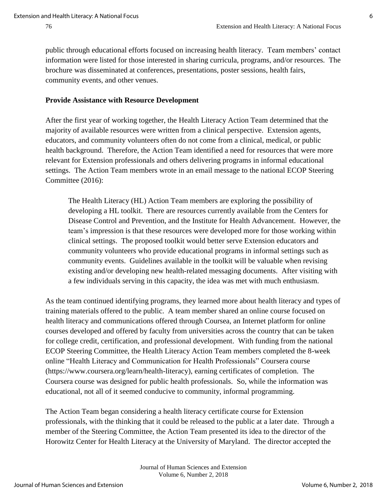public through educational efforts focused on increasing health literacy. Team members' contact information were listed for those interested in sharing curricula, programs, and/or resources. The brochure was disseminated at conferences, presentations, poster sessions, health fairs, community events, and other venues.

#### **Provide Assistance with Resource Development**

After the first year of working together, the Health Literacy Action Team determined that the majority of available resources were written from a clinical perspective. Extension agents, educators, and community volunteers often do not come from a clinical, medical, or public health background. Therefore, the Action Team identified a need for resources that were more relevant for Extension professionals and others delivering programs in informal educational settings. The Action Team members wrote in an email message to the national ECOP Steering Committee (2016):

The Health Literacy (HL) Action Team members are exploring the possibility of developing a HL toolkit. There are resources currently available from the Centers for Disease Control and Prevention, and the Institute for Health Advancement. However, the team's impression is that these resources were developed more for those working within clinical settings. The proposed toolkit would better serve Extension educators and community volunteers who provide educational programs in informal settings such as community events. Guidelines available in the toolkit will be valuable when revising existing and/or developing new health-related messaging documents. After visiting with a few individuals serving in this capacity, the idea was met with much enthusiasm.

As the team continued identifying programs, they learned more about health literacy and types of training materials offered to the public. A team member shared an online course focused on health literacy and communications offered through Coursea, an Internet platform for online courses developed and offered by faculty from universities across the country that can be taken for college credit, certification, and professional development. With funding from the national ECOP Steering Committee, the Health Literacy Action Team members completed the 8-week online "Health Literacy and Communication for Health Professionals" Coursera course (https://www.coursera.org/learn/health-literacy), earning certificates of completion. The Coursera course was designed for public health professionals. So, while the information was educational, not all of it seemed conducive to community, informal programming.

The Action Team began considering a health literacy certificate course for Extension professionals, with the thinking that it could be released to the public at a later date. Through a member of the Steering Committee, the Action Team presented its idea to the director of the Horowitz Center for Health Literacy at the University of Maryland. The director accepted the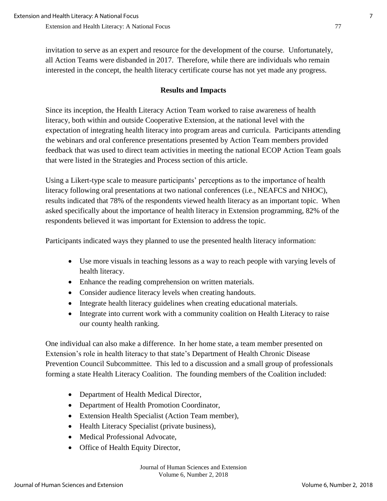invitation to serve as an expert and resource for the development of the course. Unfortunately, all Action Teams were disbanded in 2017. Therefore, while there are individuals who remain interested in the concept, the health literacy certificate course has not yet made any progress.

#### **Results and Impacts**

Since its inception, the Health Literacy Action Team worked to raise awareness of health literacy, both within and outside Cooperative Extension, at the national level with the expectation of integrating health literacy into program areas and curricula. Participants attending the webinars and oral conference presentations presented by Action Team members provided feedback that was used to direct team activities in meeting the national ECOP Action Team goals that were listed in the Strategies and Process section of this article.

Using a Likert-type scale to measure participants' perceptions as to the importance of health literacy following oral presentations at two national conferences (i.e., NEAFCS and NHOC), results indicated that 78% of the respondents viewed health literacy as an important topic. When asked specifically about the importance of health literacy in Extension programming, 82% of the respondents believed it was important for Extension to address the topic.

Participants indicated ways they planned to use the presented health literacy information:

- Use more visuals in teaching lessons as a way to reach people with varying levels of health literacy.
- Enhance the reading comprehension on written materials.
- Consider audience literacy levels when creating handouts.
- Integrate health literacy guidelines when creating educational materials.
- Integrate into current work with a community coalition on Health Literacy to raise our county health ranking.

One individual can also make a difference. In her home state, a team member presented on Extension's role in health literacy to that state's Department of Health Chronic Disease Prevention Council Subcommittee. This led to a discussion and a small group of professionals forming a state Health Literacy Coalition. The founding members of the Coalition included:

- Department of Health Medical Director,
- Department of Health Promotion Coordinator,
- Extension Health Specialist (Action Team member),
- Health Literacy Specialist (private business),
- Medical Professional Advocate.
- Office of Health Equity Director,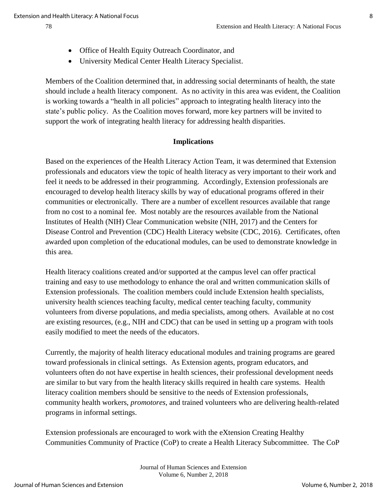- 
- Office of Health Equity Outreach Coordinator, and
- University Medical Center Health Literacy Specialist.

Members of the Coalition determined that, in addressing social determinants of health, the state should include a health literacy component. As no activity in this area was evident, the Coalition is working towards a "health in all policies" approach to integrating health literacy into the state's public policy. As the Coalition moves forward, more key partners will be invited to support the work of integrating health literacy for addressing health disparities.

#### **Implications**

Based on the experiences of the Health Literacy Action Team, it was determined that Extension professionals and educators view the topic of health literacy as very important to their work and feel it needs to be addressed in their programming. Accordingly, Extension professionals are encouraged to develop health literacy skills by way of educational programs offered in their communities or electronically. There are a number of excellent resources available that range from no cost to a nominal fee. Most notably are the resources available from the National Institutes of Health (NIH) Clear Communication website (NIH, 2017) and the Centers for Disease Control and Prevention (CDC) Health Literacy website (CDC, 2016). Certificates, often awarded upon completion of the educational modules, can be used to demonstrate knowledge in this area.

Health literacy coalitions created and/or supported at the campus level can offer practical training and easy to use methodology to enhance the oral and written communication skills of Extension professionals. The coalition members could include Extension health specialists, university health sciences teaching faculty, medical center teaching faculty, community volunteers from diverse populations, and media specialists, among others. Available at no cost are existing resources, (e.g., NIH and CDC) that can be used in setting up a program with tools easily modified to meet the needs of the educators.

Currently, the majority of health literacy educational modules and training programs are geared toward professionals in clinical settings. As Extension agents, program educators, and volunteers often do not have expertise in health sciences, their professional development needs are similar to but vary from the health literacy skills required in health care systems. Health literacy coalition members should be sensitive to the needs of Extension professionals, community health workers, *promotores*, and trained volunteers who are delivering health-related programs in informal settings.

Extension professionals are encouraged to work with the eXtension Creating Healthy Communities Community of Practice (CoP) to create a Health Literacy Subcommittee. The CoP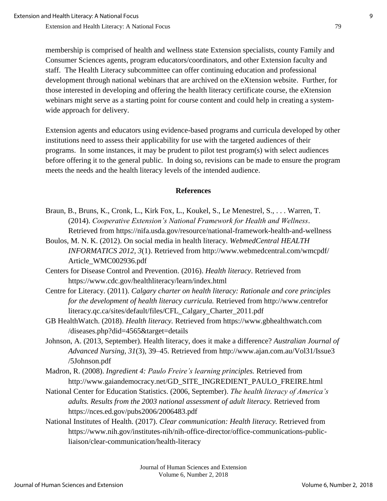Extension and Health Literacy: A National Focus 79

membership is comprised of health and wellness state Extension specialists, county Family and Consumer Sciences agents, program educators/coordinators, and other Extension faculty and staff. The Health Literacy subcommittee can offer continuing education and professional development through national webinars that are archived on the eXtension website. Further, for those interested in developing and offering the health literacy certificate course, the eXtension webinars might serve as a starting point for course content and could help in creating a systemwide approach for delivery.

Extension agents and educators using evidence-based programs and curricula developed by other institutions need to assess their applicability for use with the targeted audiences of their programs. In some instances, it may be prudent to pilot test program(s) with select audiences before offering it to the general public. In doing so, revisions can be made to ensure the program meets the needs and the health literacy levels of the intended audience.

#### **References**

- Braun, B., Bruns, K., Cronk, L., Kirk Fox, L., Koukel, S., Le Menestrel, S., . . . Warren, T. (2014). *Cooperative Extension's National Framework for Health and Wellness*. Retrieved from https://nifa.usda.gov/resource/national-framework-health-and-wellness
- Boulos, M. N. K. (2012). On social media in health literacy. *WebmedCentral HEALTH INFORMATICS 2012, 3*(1). Retrieved from http://www.webmedcentral.com/wmcpdf/ Article\_WMC002936.pdf
- Centers for Disease Control and Prevention. (2016). *Health literacy*. Retrieved from https://www.cdc.gov/healthliteracy/learn/index.html
- Centre for Literacy. (2011). *Calgary charter on health literacy: Rationale and core principles for the development of health literacy curricula.* Retrieved from http://www.centrefor literacy.qc.ca/sites/default/files/CFL\_Calgary\_Charter\_2011.pdf
- GB HealthWatch. (2018). *Health literacy.* Retrieved from https://www.gbhealthwatch.com /diseases.php?did=4565&target=details
- Johnson, A. (2013, September). Health literacy, does it make a difference? *Australian Journal of Advanced Nursing, 31*(3), 39–45. Retrieved from http://www.ajan.com.au/Vol31/Issue3 /5Johnson.pdf
- Madron, R. (2008). *Ingredient 4: Paulo Freire's learning principles.* Retrieved from http://www.gaiandemocracy.net/GD\_SITE\_INGREDIENT\_PAULO\_FREIRE.html
- National Center for Education Statistics. (2006, September). *The health literacy of America's adults. Results from the 2003 national assessment of adult literacy.* Retrieved from https://nces.ed.gov/pubs2006/2006483.pdf
- National Institutes of Health. (2017). *Clear communication: Health literacy.* Retrieved from https://www.nih.gov/institutes-nih/nih-office-director/office-communications-publicliaison/clear-communication/health-literacy